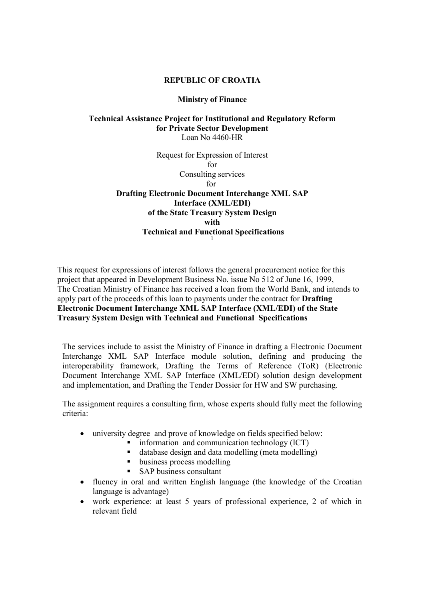## REPUBLIC OF CROATIA

## Ministry of Finance

# Technical Assistance Project for Institutional and Regulatory Reform for Private Sector Development Loan No 4460-HR

Request for Expression of Interest for Consulting services for Drafting Electronic Document Interchange XML SAP Interface (XML/EDI) of the State Treasury System Design with Technical and Functional Specifications 1

This request for expressions of interest follows the general procurement notice for this project that appeared in Development Business No. issue No 512 of June 16, 1999, The Croatian Ministry of Finance has received a loan from the World Bank, and intends to apply part of the proceeds of this loan to payments under the contract for Drafting Electronic Document Interchange XML SAP Interface (XML/EDI) of the State Treasury System Design with Technical and Functional Specifications

The services include to assist the Ministry of Finance in drafting a Electronic Document Interchange XML SAP Interface module solution, defining and producing the interoperability framework, Drafting the Terms of Reference (ToR) (Electronic Document Interchange XML SAP Interface (XML/EDI) solution design development and implementation, and Drafting the Tender Dossier for HW and SW purchasing.

The assignment requires a consulting firm, whose experts should fully meet the following criteria:

- university degree and prove of knowledge on fields specified below:
	- $\blacksquare$  information and communication technology (ICT)
	- database design and data modelling (meta modelling)
	- usiness process modelling
	- SAP business consultant
- fluency in oral and written English language (the knowledge of the Croatian language is advantage)
- work experience: at least 5 years of professional experience, 2 of which in relevant field